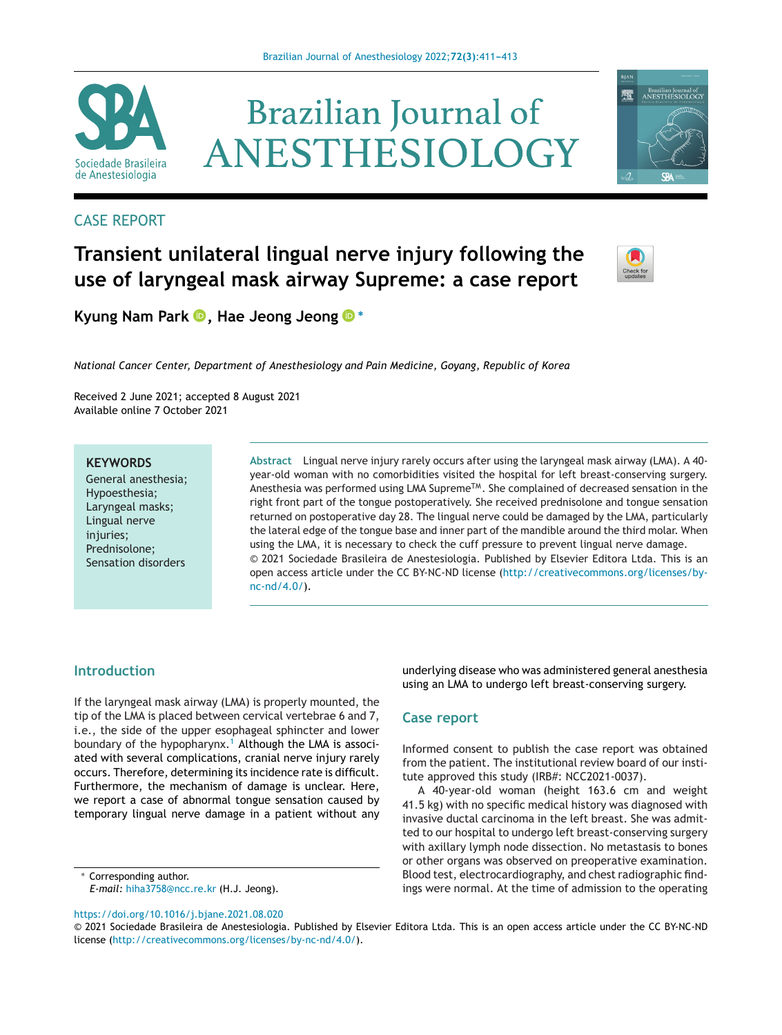

# **Brazilian Journal of** ANESTHESIOLOGY

### CASE REPORT

## **Transient unilateral lingual nerve injury following the use of laryngeal mask airway Supreme: a case report**



矕

Brazilian Journal of<br>ANESTHESIOLOGY

**Kyung Nam Park [,](https://orcid.org/0000-0002-2665-6548) Hae Jeong Jeon[g](https://orcid.org/0000-0003-4078-3129) <sup>∗</sup>**

*National Cancer Center, Department of Anesthesiology and Pain Medicine, Goyang, Republic of Korea*

Received 2 June 2021; accepted 8 August 2021 Available online 7 October 2021

#### **KEYWORDS**

General anesthesia; Hypoesthesia; Laryngeal masks; Lingual nerve injuries; Prednisolone; Sensation disorders

**Abstract** Lingual nerve injury rarely occurs after using the laryngeal mask airway (LMA). A 40 year-old woman with no comorbidities visited the hospital for left breast-conserving surgery. Anesthesia was performed using LMA Supreme<sup>TM</sup>. She complained of decreased sensation in the right front part of the tongue postoperatively. She received prednisolone and tongue sensation returned on postoperative day 28. The lingual nerve could be damaged by the LMA, particularly the lateral edge of the tongue base and inner part of the mandible around the third molar. When using the LMA, it is necessary to check the cuff pressure to prevent lingual nerve damage. © 2021 Sociedade Brasileira de Anestesiologia. Published by Elsevier Editora Ltda. This is an open access article under the CC BY-NC-ND license [\(http://creativecommons.org/licenses/by](http://creativecommons.org/licenses/by-nc-nd/4.0/)[nc-nd/4.0/](http://creativecommons.org/licenses/by-nc-nd/4.0/)).

#### **Introduction**

If the laryngeal mask airway (LMA) is properly mounted, the tip of the LMA is placed between cervical vertebrae 6 and 7, i.e., the side of the upper esophageal sphincter and lower boundary of the hypopharynx.<sup>[1](#page-2-0)</sup> Although the LMA is associated with several complications, cranial nerve injury rarely occurs. Therefore, determining its incidence rate is difficult. Furthermore, the mechanism of damage is unclear. Here, we report a case of abnormal tongue sensation caused by temporary lingual nerve damage in a patient without any

∗ Corresponding author. *E-mail:* [hiha3758@ncc.re.kr](mailto:hiha3758@ncc.re.kr) (H.J. Jeong).

<https://doi.org/10.1016/j.bjane.2021.08.020>

underlying disease who was administered general anesthesia using an LMA to undergo left breast-conserving surgery.

#### **Case report**

Informed consent to publish the case report was obtained from the patient. The institutional review board of our institute approved this study (IRB#: NCC2021-0037).

A 40-year-old woman (height 163.6 cm and weight 41.5 kg) with no specific medical history was diagnosed with invasive ductal carcinoma in the left breast. She was admitted to our hospital to undergo left breast-conserving surgery with axillary lymph node dissection. No metastasis to bones or other organs was observed on preoperative examination. Blood test, electrocardiography, and chest radiographic findings were normal. At the time of admission to the operating

<sup>©</sup> 2021 Sociedade Brasileira de Anestesiologia. Published by Elsevier Editora Ltda. This is an open access article under the CC BY-NC-ND license (<http://creativecommons.org/licenses/by-nc-nd/4.0/>).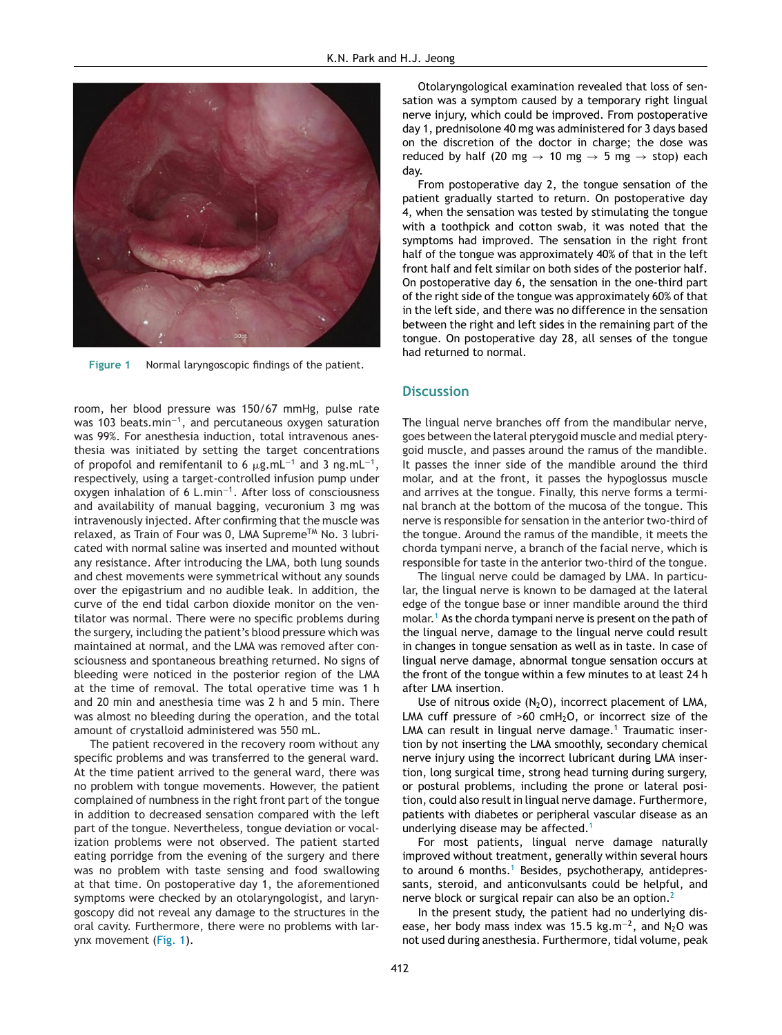

**Figure 1** Normal laryngoscopic findings of the patient.

room, her blood pressure was 150/67 mmHg, pulse rate was 103 beats.min<sup>-1</sup>, and percutaneous oxygen saturation was 99%. For anesthesia induction, total intravenous anesthesia was initiated by setting the target concentrations of propofol and remifentanil to 6  $\mu$ g.mL $^{-1}$  and 3 ng.mL $^{-1}$ , respectively, using a target-controlled infusion pump under oxygen inhalation of 6 L.min−1. After loss of consciousness and availability of manual bagging, vecuronium 3 mg was intravenously injected. After confirming that the muscle was relaxed, as Train of Four was 0, LMA Supreme™ No. 3 lubricated with normal saline was inserted and mounted without any resistance. After introducing the LMA, both lung sounds and chest movements were symmetrical without any sounds over the epigastrium and no audible leak. In addition, the curve of the end tidal carbon dioxide monitor on the ventilator was normal. There were no specific problems during the surgery, including the patient's blood pressure which was maintained at normal, and the LMA was removed after consciousness and spontaneous breathing returned. No signs of bleeding were noticed in the posterior region of the LMA at the time of removal. The total operative time was 1 h and 20 min and anesthesia time was 2 h and 5 min. There was almost no bleeding during the operation, and the total amount of crystalloid administered was 550 mL.

The patient recovered in the recovery room without any specific problems and was transferred to the general ward. At the time patient arrived to the general ward, there was no problem with tongue movements. However, the patient complained of numbness in the right front part of the tongue in addition to decreased sensation compared with the left part of the tongue. Nevertheless, tongue deviation or vocalization problems were not observed. The patient started eating porridge from the evening of the surgery and there was no problem with taste sensing and food swallowing at that time. On postoperative day 1, the aforementioned symptoms were checked by an otolaryngologist, and laryngoscopy did not reveal any damage to the structures in the oral cavity. Furthermore, there were no problems with larynx movement (Fig. 1).

Otolaryngological examination revealed that loss of sensation was a symptom caused by a temporary right lingual nerve injury, which could be improved. From postoperative day 1, prednisolone 40 mg was administered for 3 days based on the discretion of the doctor in charge; the dose was reduced by half (20 mg  $\rightarrow$  10 mg  $\rightarrow$  5 mg  $\rightarrow$  stop) each day.

From postoperative day 2, the tongue sensation of the patient gradually started to return. On postoperative day 4, when the sensation was tested by stimulating the tongue with a toothpick and cotton swab, it was noted that the symptoms had improved. The sensation in the right front half of the tongue was approximately 40% of that in the left front half and felt similar on both sides of the posterior half. On postoperative day 6, the sensation in the one-third part of the right side of the tongue was approximately 60% of that in the left side, and there was no difference in the sensation between the right and left sides in the remaining part of the tongue. On postoperative day 28, all senses of the tongue had returned to normal.

#### **Discussion**

The lingual nerve branches off from the mandibular nerve, goes between the lateral pterygoid muscle and medial pterygoid muscle, and passes around the ramus of the mandible. It passes the inner side of the mandible around the third molar, and at the front, it passes the hypoglossus muscle and arrives at the tongue. Finally, this nerve forms a terminal branch at the bottom of the mucosa of the tongue. This nerve is responsible for sensation in the anterior two-third of the tongue. Around the ramus of the mandible, it meets the chorda tympani nerve, a branch of the facial nerve, which is responsible for taste in the anterior two-third of the tongue.

The lingual nerve could be damaged by LMA. In particular, the lingual nerve is known to be damaged at the lateral edge of the tongue base or inner mandible around the third molar.<sup>1</sup> [A](#page-2-0)s the chorda tympani nerve is present on the path of the lingual nerve, damage to the lingual nerve could result in changes in tongue sensation as well as in taste. In case of lingual nerve damage, abnormal tongue sensation occurs at the front of the tongue within a few minutes to at least 24 h after LMA insertion.

Use of nitrous oxide  $(N_2O)$ , incorrect placement of LMA, LMA cuff pressure of  $>60$  cmH<sub>2</sub>O, or incorrect size of the LMA can result in lingual nerve damage.<sup>1</sup> Traumatic insertion by not inserting the LMA smoothly, secondary chemical nerve injury using the incorrect lubricant during LMA insertion, long surgical time, strong head turning during surgery, or postural problems, including the prone or lateral position, could also result in lingual nerve damage. Furthermore, patients with diabetes or peripheral vascular disease as an underlying disease may be affected.<sup>[1](#page-2-0)</sup>

For most patients, lingual nerve damage naturally improved without treatment, generally within several hours to around 6 months.<sup>[1](#page-2-0)</sup> Besides, psychotherapy, antidepressants, steroid, and anticonvulsants could be helpful, and nerve block or surgical repair can also be an option.<sup>[2](#page-2-0)</sup>

In the present study, the patient had no underlying disease, her body mass index was 15.5 kg.m<sup>-2</sup>, and N<sub>2</sub>O was not used during anesthesia. Furthermore, tidal volume, peak